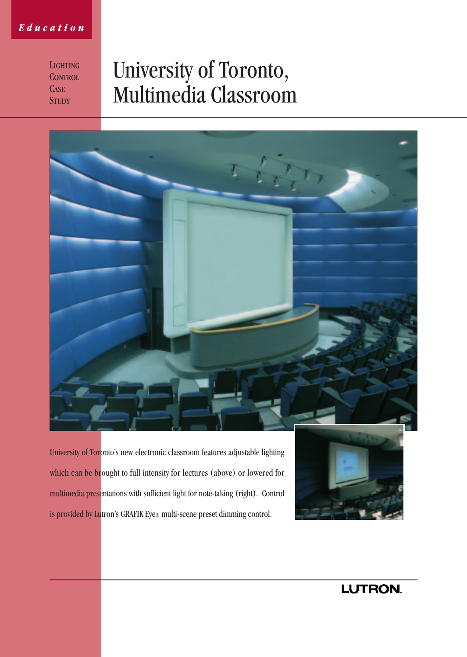### *Education*

**LIGHTING CONTROL CASE STUDY** 

# University of Toronto, Multimedia Classroom



University of Toronto's new electronic classroom features adjustable lighting which can be brought to full intensity for lectures (above) or lowered for multimedia presentations with sufficient light for note-taking (right). Control is provided by Lutron's GRAFIK Eye® multi-scene preset dimming control.



LUTRON.